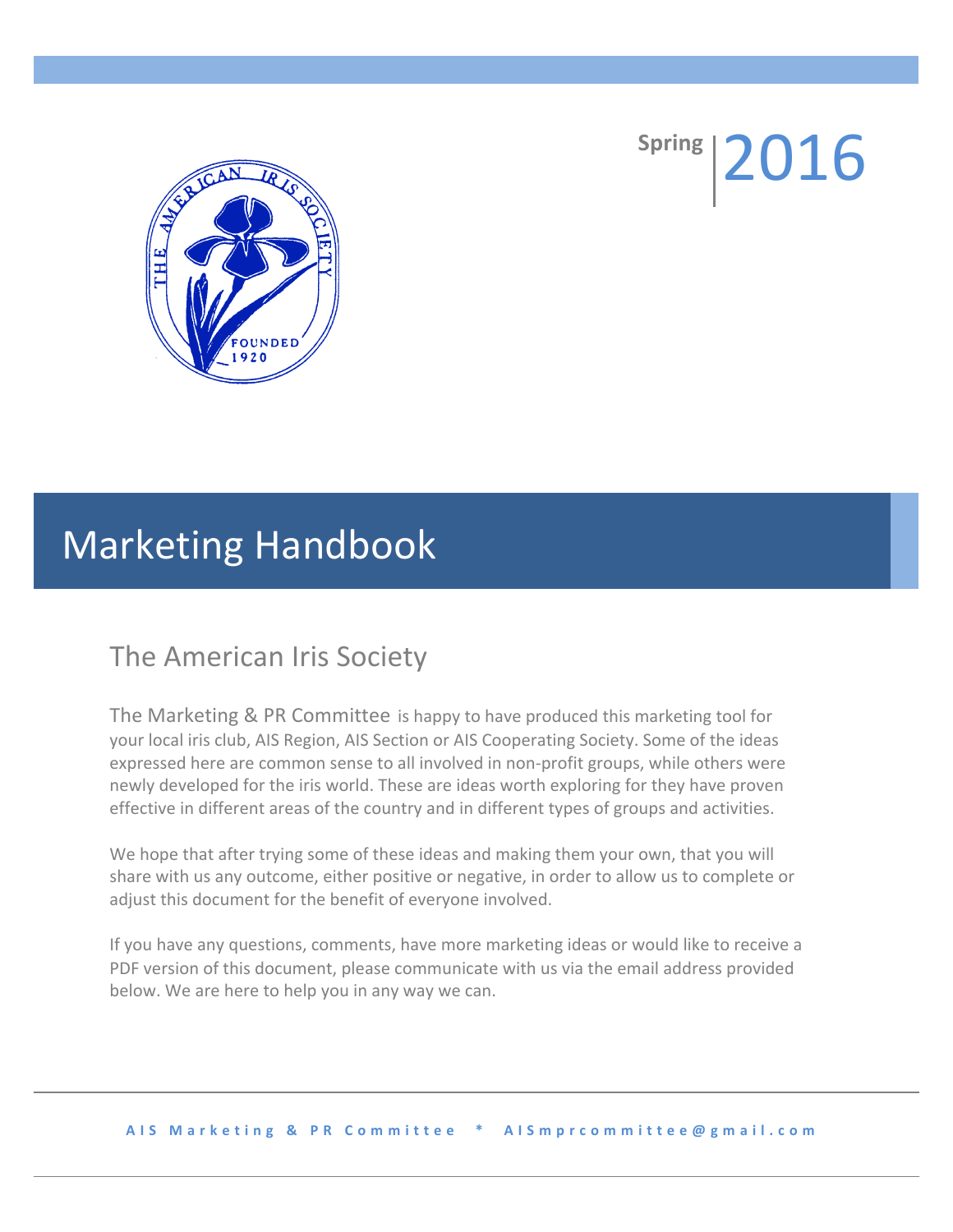

**Spring** 2016

# **Marketing Handbook**

## The American Iris Society

expressed here are common sense to all involved in non-profit groups, while others were The Marketing & PR Committee is happy to have produced this marketing tool for your local iris club, AIS Region, AIS Section or AIS Cooperating Society. Some of the ideas newly developed for the iris world. These are ideas worth exploring for they have proven effective in different areas of the country and in different types of groups and activities.

We hope that after trying some of these ideas and making them your own, that you will share with us any outcome, either positive or negative, in order to allow us to complete or adjust this document for the benefit of everyone involved.

If you have any questions, comments, have more marketing ideas or would like to receive a PDF version of this document, please communicate with us via the email address provided below. We are here to help you in any way we can.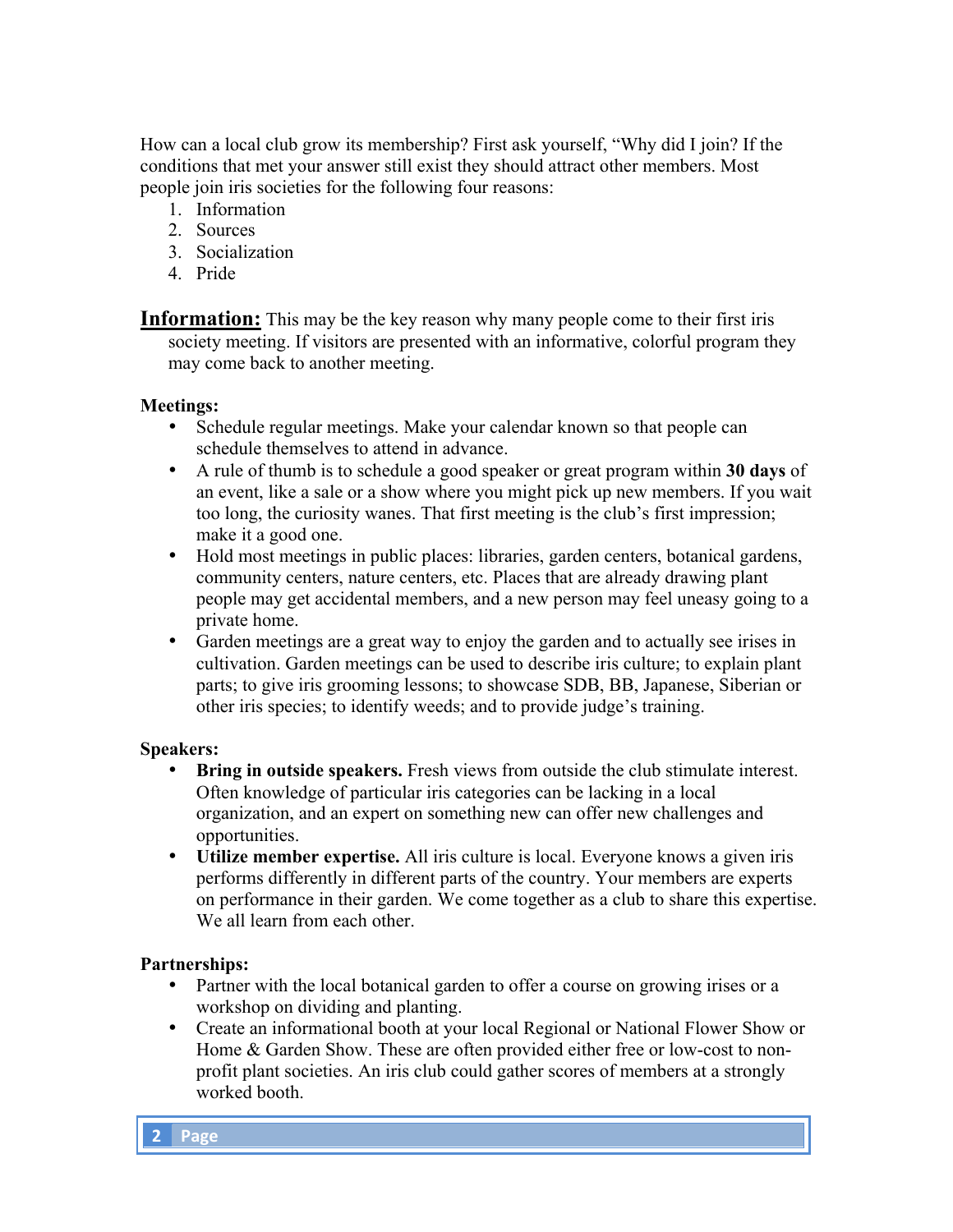How can a local club grow its membership? First ask yourself, "Why did I join? If the conditions that met your answer still exist they should attract other members. Most people join iris societies for the following four reasons:

- 1. Information
- 2. Sources
- 3. Socialization
- 4. Pride

**Information:** This may be the key reason why many people come to their first iris society meeting. If visitors are presented with an informative, colorful program they may come back to another meeting.

## **Meetings:**

- Schedule regular meetings. Make your calendar known so that people can schedule themselves to attend in advance.
- A rule of thumb is to schedule a good speaker or great program within **30 days** of an event, like a sale or a show where you might pick up new members. If you wait too long, the curiosity wanes. That first meeting is the club's first impression; make it a good one.
- Hold most meetings in public places: libraries, garden centers, botanical gardens, community centers, nature centers, etc. Places that are already drawing plant people may get accidental members, and a new person may feel uneasy going to a private home.
- Garden meetings are a great way to enjoy the garden and to actually see irises in cultivation. Garden meetings can be used to describe iris culture; to explain plant parts; to give iris grooming lessons; to showcase SDB, BB, Japanese, Siberian or other iris species; to identify weeds; and to provide judge's training.

#### **Speakers:**

- **Bring in outside speakers.** Fresh views from outside the club stimulate interest. Often knowledge of particular iris categories can be lacking in a local organization, and an expert on something new can offer new challenges and opportunities.
- **Utilize member expertise.** All iris culture is local. Everyone knows a given iris performs differently in different parts of the country. Your members are experts on performance in their garden. We come together as a club to share this expertise. We all learn from each other.

## **Partnerships:**

- Partner with the local botanical garden to offer a course on growing irises or a workshop on dividing and planting.
- Create an informational booth at your local Regional or National Flower Show or Home & Garden Show. These are often provided either free or low-cost to nonprofit plant societies. An iris club could gather scores of members at a strongly worked booth.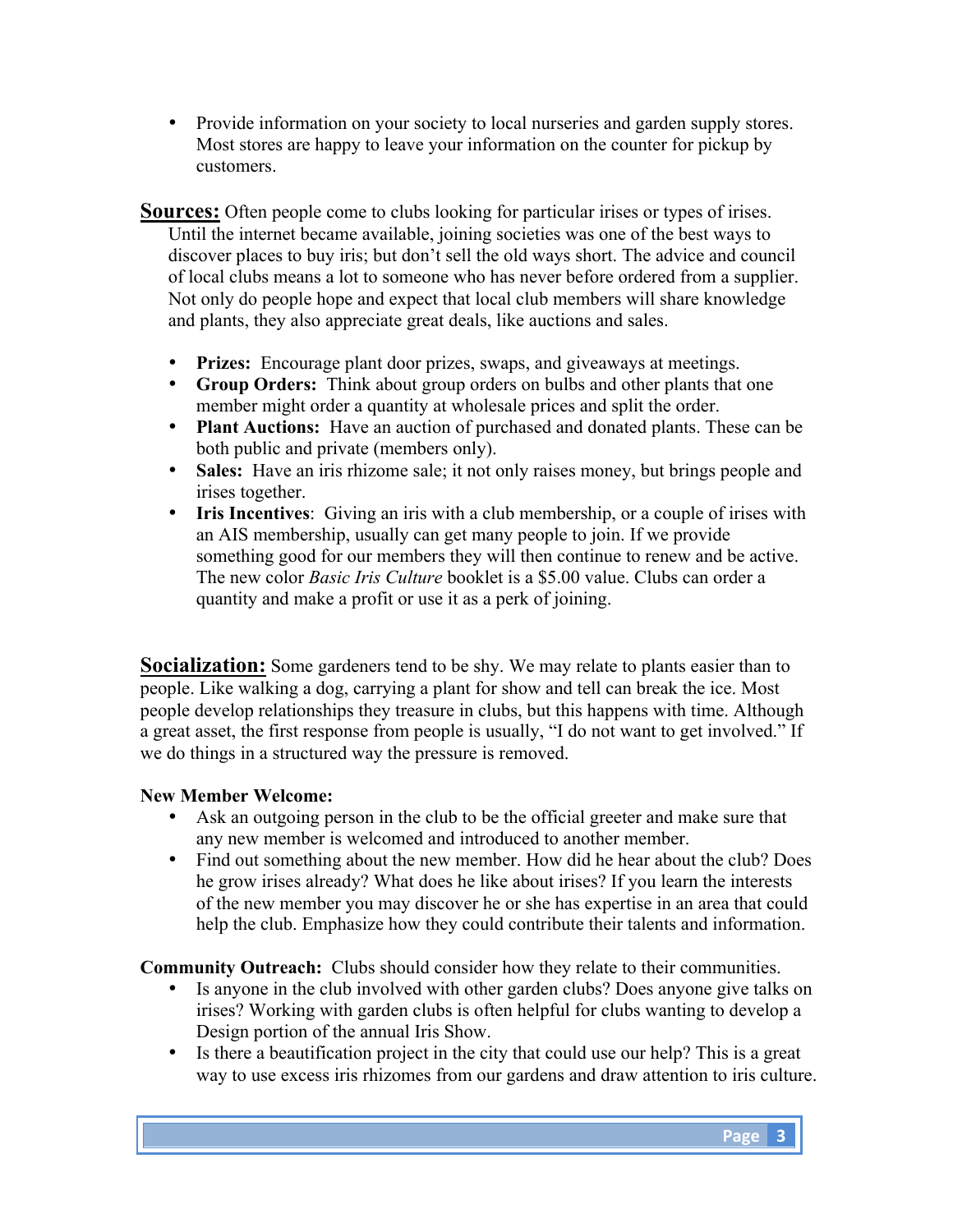• Provide information on your society to local nurseries and garden supply stores. Most stores are happy to leave your information on the counter for pickup by customers.

**Sources:** Often people come to clubs looking for particular irises or types of irises. Until the internet became available, joining societies was one of the best ways to discover places to buy iris; but don't sell the old ways short. The advice and council of local clubs means a lot to someone who has never before ordered from a supplier. Not only do people hope and expect that local club members will share knowledge and plants, they also appreciate great deals, like auctions and sales.

- **Prizes:** Encourage plant door prizes, swaps, and giveaways at meetings.
- **Group Orders:** Think about group orders on bulbs and other plants that one member might order a quantity at wholesale prices and split the order.
- **Plant Auctions:** Have an auction of purchased and donated plants. These can be both public and private (members only).
- **Sales:** Have an iris rhizome sale; it not only raises money, but brings people and irises together.
- **Iris Incentives**: Giving an iris with a club membership, or a couple of irises with an AIS membership, usually can get many people to join. If we provide something good for our members they will then continue to renew and be active. The new color *Basic Iris Culture* booklet is a \$5.00 value. Clubs can order a quantity and make a profit or use it as a perk of joining.

**Socialization:** Some gardeners tend to be shy. We may relate to plants easier than to people. Like walking a dog, carrying a plant for show and tell can break the ice. Most people develop relationships they treasure in clubs, but this happens with time. Although a great asset, the first response from people is usually, "I do not want to get involved." If we do things in a structured way the pressure is removed.

## **New Member Welcome:**

- Ask an outgoing person in the club to be the official greeter and make sure that any new member is welcomed and introduced to another member.
- Find out something about the new member. How did he hear about the club? Does he grow irises already? What does he like about irises? If you learn the interests of the new member you may discover he or she has expertise in an area that could help the club. Emphasize how they could contribute their talents and information.

**Community Outreach:** Clubs should consider how they relate to their communities.

- Is anyone in the club involved with other garden clubs? Does anyone give talks on irises? Working with garden clubs is often helpful for clubs wanting to develop a Design portion of the annual Iris Show.
- Is there a beautification project in the city that could use our help? This is a great way to use excess iris rhizomes from our gardens and draw attention to iris culture.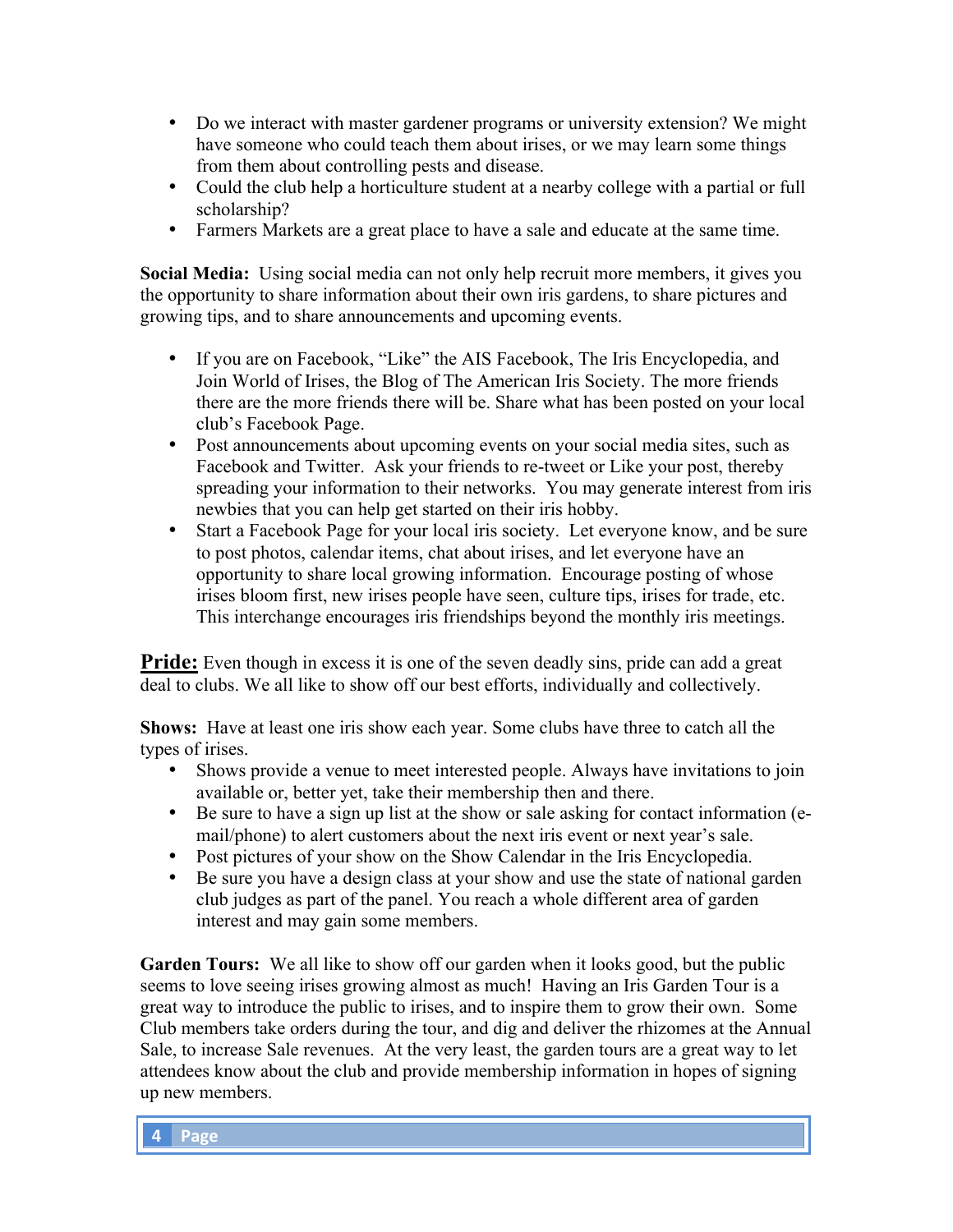- Do we interact with master gardener programs or university extension? We might have someone who could teach them about irises, or we may learn some things from them about controlling pests and disease.
- Could the club help a horticulture student at a nearby college with a partial or full scholarship?
- Farmers Markets are a great place to have a sale and educate at the same time.

**Social Media:** Using social media can not only help recruit more members, it gives you the opportunity to share information about their own iris gardens, to share pictures and growing tips, and to share announcements and upcoming events.

- If you are on Facebook, "Like" the AIS Facebook, The Iris Encyclopedia, and Join World of Irises, the Blog of The American Iris Society. The more friends there are the more friends there will be. Share what has been posted on your local club's Facebook Page.
- Post announcements about upcoming events on your social media sites, such as Facebook and Twitter. Ask your friends to re-tweet or Like your post, thereby spreading your information to their networks. You may generate interest from iris newbies that you can help get started on their iris hobby.
- Start a Facebook Page for your local iris society. Let everyone know, and be sure to post photos, calendar items, chat about irises, and let everyone have an opportunity to share local growing information. Encourage posting of whose irises bloom first, new irises people have seen, culture tips, irises for trade, etc. This interchange encourages iris friendships beyond the monthly iris meetings.

**Pride:** Even though in excess it is one of the seven deadly sins, pride can add a great deal to clubs. We all like to show off our best efforts, individually and collectively.

**Shows:** Have at least one iris show each year. Some clubs have three to catch all the types of irises.

- Shows provide a venue to meet interested people. Always have invitations to join available or, better yet, take their membership then and there.
- Be sure to have a sign up list at the show or sale asking for contact information (email/phone) to alert customers about the next iris event or next year's sale.
- Post pictures of your show on the Show Calendar in the Iris Encyclopedia.
- Be sure you have a design class at your show and use the state of national garden club judges as part of the panel. You reach a whole different area of garden interest and may gain some members.

**Garden Tours:** We all like to show off our garden when it looks good, but the public seems to love seeing irises growing almost as much! Having an Iris Garden Tour is a great way to introduce the public to irises, and to inspire them to grow their own. Some Club members take orders during the tour, and dig and deliver the rhizomes at the Annual Sale, to increase Sale revenues. At the very least, the garden tours are a great way to let attendees know about the club and provide membership information in hopes of signing up new members.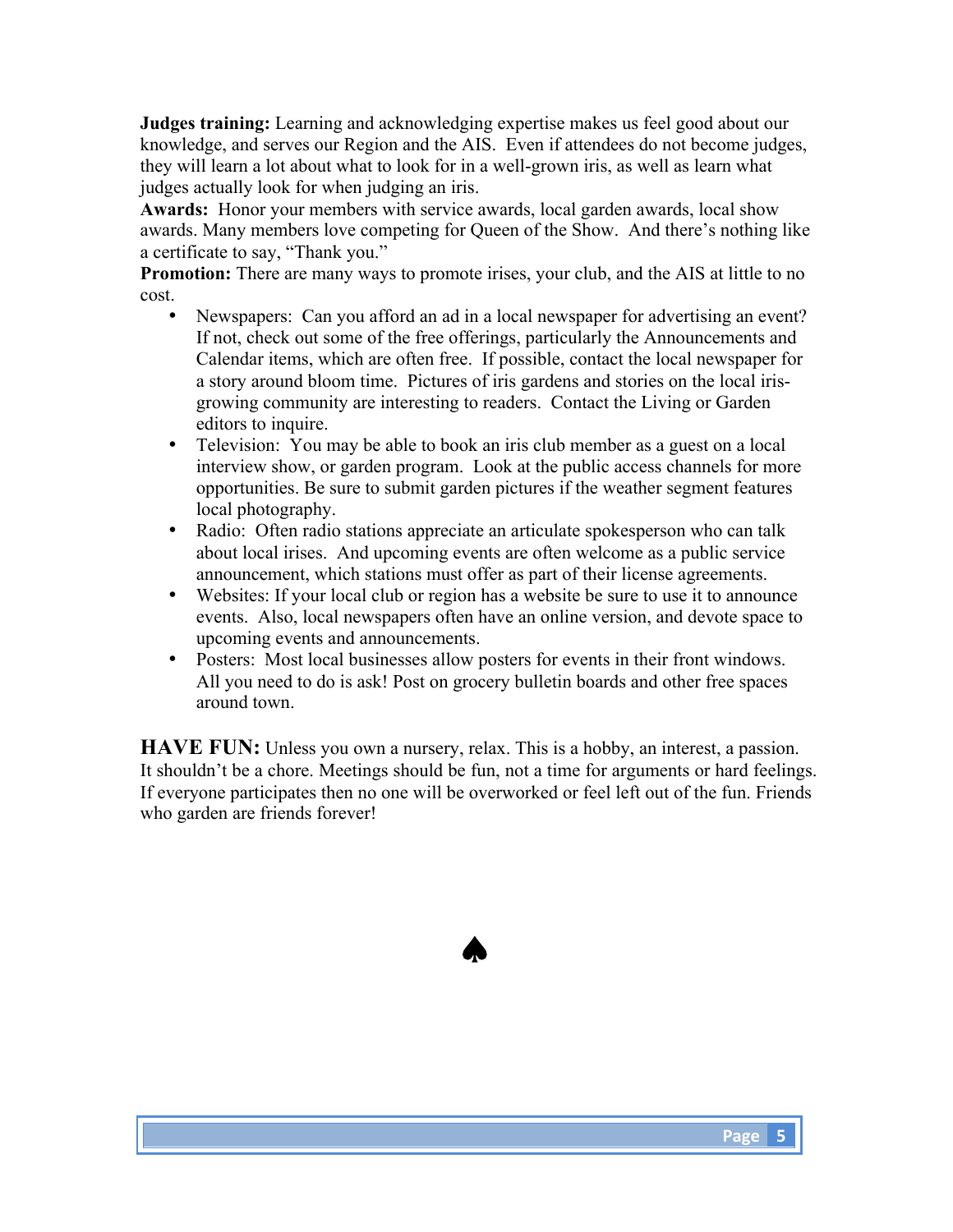**Judges training:** Learning and acknowledging expertise makes us feel good about our knowledge, and serves our Region and the AIS. Even if attendees do not become judges, they will learn a lot about what to look for in a well-grown iris, as well as learn what judges actually look for when judging an iris.

**Awards:** Honor your members with service awards, local garden awards, local show awards. Many members love competing for Queen of the Show. And there's nothing like a certificate to say, "Thank you."

**Promotion:** There are many ways to promote irises, your club, and the AIS at little to no cost.

- Newspapers: Can you afford an ad in a local newspaper for advertising an event? If not, check out some of the free offerings, particularly the Announcements and Calendar items, which are often free. If possible, contact the local newspaper for a story around bloom time. Pictures of iris gardens and stories on the local irisgrowing community are interesting to readers. Contact the Living or Garden editors to inquire.
- Television: You may be able to book an iris club member as a guest on a local interview show, or garden program. Look at the public access channels for more opportunities. Be sure to submit garden pictures if the weather segment features local photography.
- Radio: Often radio stations appreciate an articulate spokesperson who can talk about local irises. And upcoming events are often welcome as a public service announcement, which stations must offer as part of their license agreements.
- Websites: If your local club or region has a website be sure to use it to announce events. Also, local newspapers often have an online version, and devote space to upcoming events and announcements.
- Posters: Most local businesses allow posters for events in their front windows. All you need to do is ask! Post on grocery bulletin boards and other free spaces around town.

**HAVE FUN:** Unless you own a nursery, relax. This is a hobby, an interest, a passion. It shouldn't be a chore. Meetings should be fun, not a time for arguments or hard feelings. If everyone participates then no one will be overworked or feel left out of the fun. Friends who garden are friends forever!

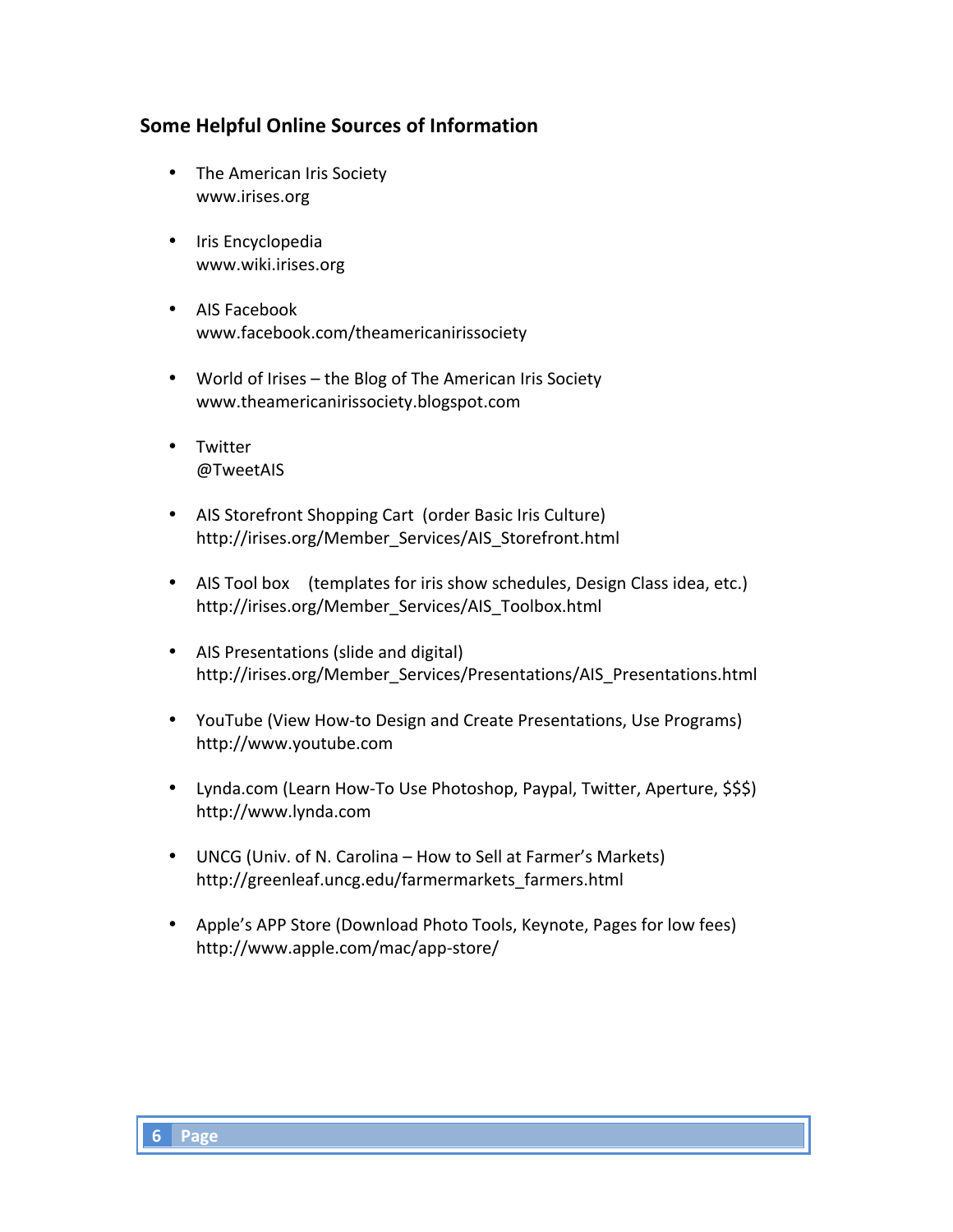## **Some Helpful Online Sources of Information**

- The American Iris Society www.irises.org
- Iris Encyclopedia www.wiki.irises.org
- AIS Facebook www.facebook.com/theamericanirissociety
- World of Irises the Blog of The American Iris Society www.theamericanirissociety.blogspot.com
- Twitter @TweetAIS
- AIS Storefront Shopping Cart (order Basic Iris Culture) http://irises.org/Member\_Services/AIS\_Storefront.html
- AIS Tool box (templates for iris show schedules, Design Class idea, etc.) http://irises.org/Member\_Services/AIS\_Toolbox.html
- AIS Presentations (slide and digital) http://irises.org/Member\_Services/Presentations/AIS\_Presentations.html
- YouTube (View How-to Design and Create Presentations, Use Programs) http://www.youtube.com
- Lynda.com (Learn How-To Use Photoshop, Paypal, Twitter, Aperture, \$\$\$) http://www.lynda.com
- UNCG (Univ. of N. Carolina How to Sell at Farmer's Markets) http://greenleaf.uncg.edu/farmermarkets\_farmers.html
- Apple's APP Store (Download Photo Tools, Keynote, Pages for low fees) http://www.apple.com/mac/app-store/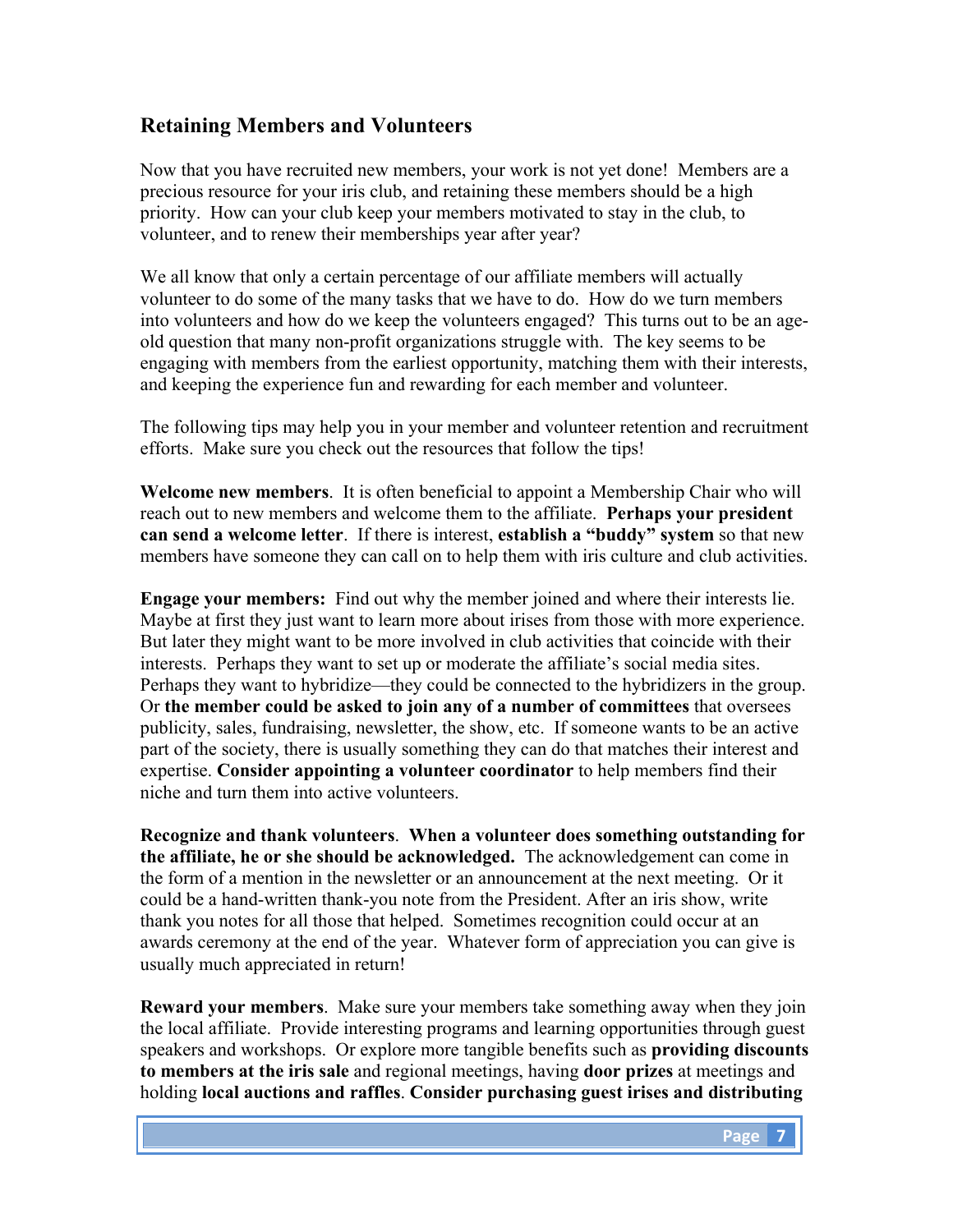## **Retaining Members and Volunteers**

Now that you have recruited new members, your work is not yet done! Members are a precious resource for your iris club, and retaining these members should be a high priority. How can your club keep your members motivated to stay in the club, to volunteer, and to renew their memberships year after year?

We all know that only a certain percentage of our affiliate members will actually volunteer to do some of the many tasks that we have to do. How do we turn members into volunteers and how do we keep the volunteers engaged? This turns out to be an ageold question that many non-profit organizations struggle with. The key seems to be engaging with members from the earliest opportunity, matching them with their interests, and keeping the experience fun and rewarding for each member and volunteer.

The following tips may help you in your member and volunteer retention and recruitment efforts. Make sure you check out the resources that follow the tips!

**Welcome new members**. It is often beneficial to appoint a Membership Chair who will reach out to new members and welcome them to the affiliate. **Perhaps your president can send a welcome letter**. If there is interest, **establish a "buddy" system** so that new members have someone they can call on to help them with iris culture and club activities.

**Engage your members:** Find out why the member joined and where their interests lie. Maybe at first they just want to learn more about irises from those with more experience. But later they might want to be more involved in club activities that coincide with their interests. Perhaps they want to set up or moderate the affiliate's social media sites. Perhaps they want to hybridize—they could be connected to the hybridizers in the group. Or **the member could be asked to join any of a number of committees** that oversees publicity, sales, fundraising, newsletter, the show, etc. If someone wants to be an active part of the society, there is usually something they can do that matches their interest and expertise. **Consider appointing a volunteer coordinator** to help members find their niche and turn them into active volunteers.

**Recognize and thank volunteers**. **When a volunteer does something outstanding for the affiliate, he or she should be acknowledged.** The acknowledgement can come in the form of a mention in the newsletter or an announcement at the next meeting. Or it could be a hand-written thank-you note from the President. After an iris show, write thank you notes for all those that helped. Sometimes recognition could occur at an awards ceremony at the end of the year. Whatever form of appreciation you can give is usually much appreciated in return!

**Reward your members**. Make sure your members take something away when they join the local affiliate. Provide interesting programs and learning opportunities through guest speakers and workshops. Or explore more tangible benefits such as **providing discounts to members at the iris sale** and regional meetings, having **door prizes** at meetings and holding **local auctions and raffles**. **Consider purchasing guest irises and distributing**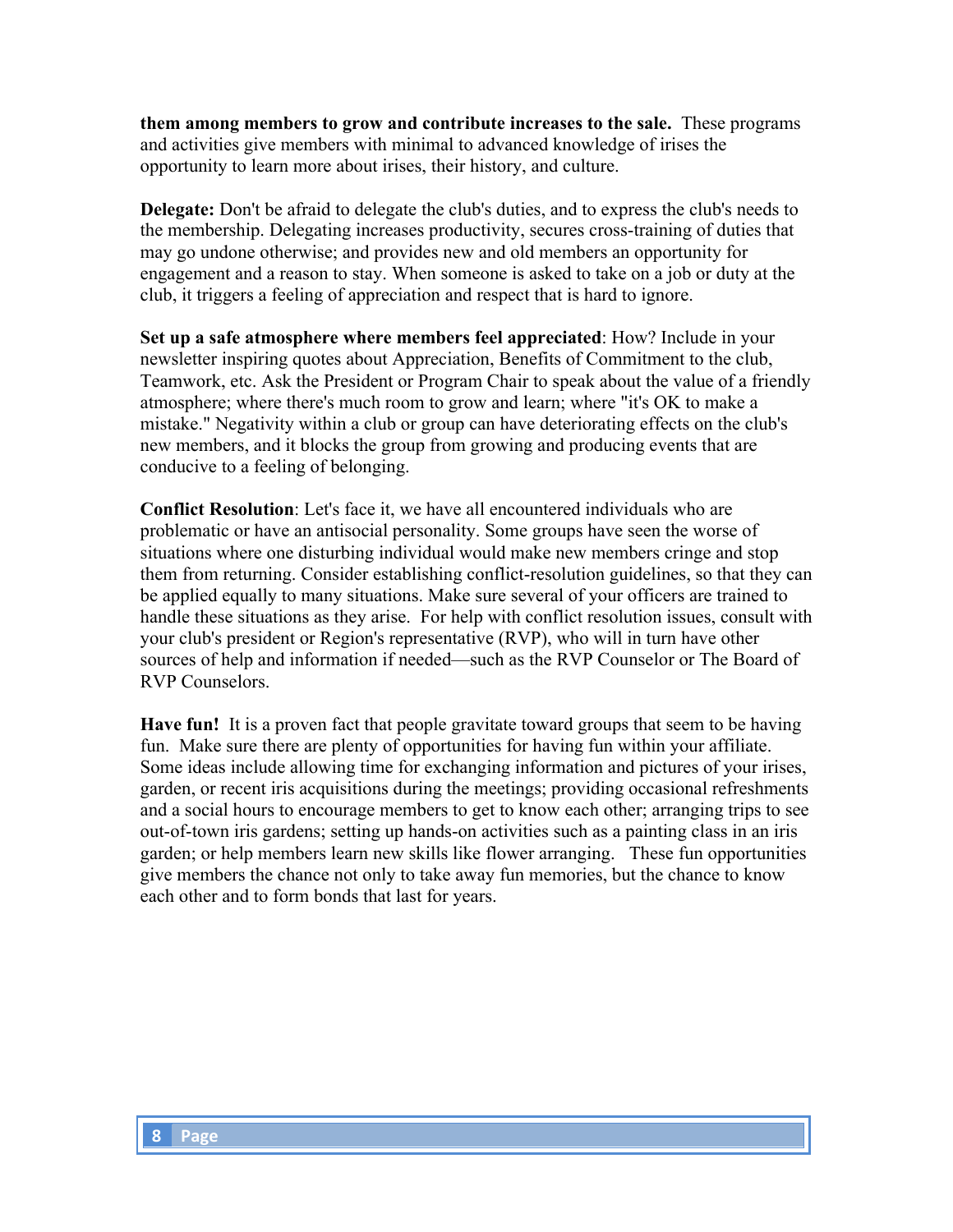**them among members to grow and contribute increases to the sale.** These programs and activities give members with minimal to advanced knowledge of irises the opportunity to learn more about irises, their history, and culture.

**Delegate:** Don't be afraid to delegate the club's duties, and to express the club's needs to the membership. Delegating increases productivity, secures cross-training of duties that may go undone otherwise; and provides new and old members an opportunity for engagement and a reason to stay. When someone is asked to take on a job or duty at the club, it triggers a feeling of appreciation and respect that is hard to ignore.

**Set up a safe atmosphere where members feel appreciated**: How? Include in your newsletter inspiring quotes about Appreciation, Benefits of Commitment to the club, Teamwork, etc. Ask the President or Program Chair to speak about the value of a friendly atmosphere; where there's much room to grow and learn; where "it's OK to make a mistake." Negativity within a club or group can have deteriorating effects on the club's new members, and it blocks the group from growing and producing events that are conducive to a feeling of belonging.

**Conflict Resolution**: Let's face it, we have all encountered individuals who are problematic or have an antisocial personality. Some groups have seen the worse of situations where one disturbing individual would make new members cringe and stop them from returning. Consider establishing conflict-resolution guidelines, so that they can be applied equally to many situations. Make sure several of your officers are trained to handle these situations as they arise. For help with conflict resolution issues, consult with your club's president or Region's representative (RVP), who will in turn have other sources of help and information if needed—such as the RVP Counselor or The Board of RVP Counselors.

**Have fun!** It is a proven fact that people gravitate toward groups that seem to be having fun. Make sure there are plenty of opportunities for having fun within your affiliate. Some ideas include allowing time for exchanging information and pictures of your irises, garden, or recent iris acquisitions during the meetings; providing occasional refreshments and a social hours to encourage members to get to know each other; arranging trips to see out-of-town iris gardens; setting up hands-on activities such as a painting class in an iris garden; or help members learn new skills like flower arranging. These fun opportunities give members the chance not only to take away fun memories, but the chance to know each other and to form bonds that last for years.